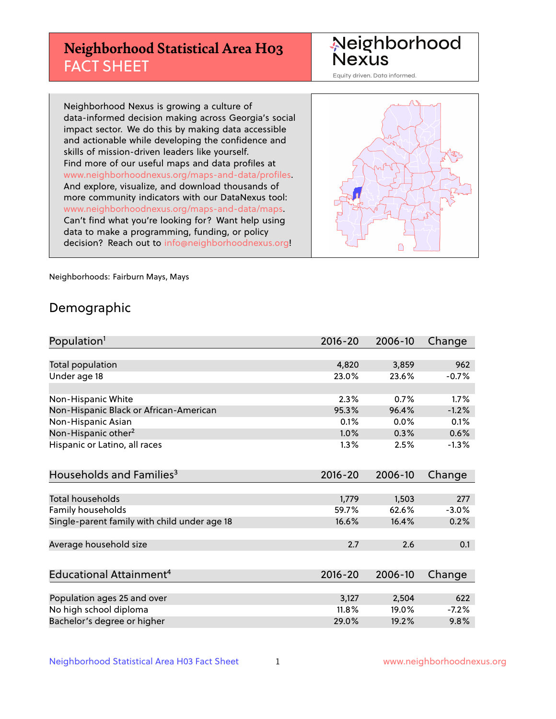# **Neighborhood Statistical Area H03** FACT SHEET

Neighborhood Nexus

Equity driven. Data informed.

Neighborhood Nexus is growing a culture of data-informed decision making across Georgia's social impact sector. We do this by making data accessible and actionable while developing the confidence and skills of mission-driven leaders like yourself. Find more of our useful maps and data profiles at www.neighborhoodnexus.org/maps-and-data/profiles. And explore, visualize, and download thousands of more community indicators with our DataNexus tool: www.neighborhoodnexus.org/maps-and-data/maps. Can't find what you're looking for? Want help using data to make a programming, funding, or policy decision? Reach out to [info@neighborhoodnexus.org!](mailto:info@neighborhoodnexus.org)



Neighborhoods: Fairburn Mays, Mays

### Demographic

| Population <sup>1</sup>                      | $2016 - 20$ | 2006-10 | Change  |
|----------------------------------------------|-------------|---------|---------|
|                                              |             |         |         |
| Total population                             | 4,820       | 3,859   | 962     |
| Under age 18                                 | 23.0%       | 23.6%   | $-0.7%$ |
|                                              |             |         |         |
| Non-Hispanic White                           | 2.3%        | 0.7%    | 1.7%    |
| Non-Hispanic Black or African-American       | 95.3%       | 96.4%   | $-1.2%$ |
| Non-Hispanic Asian                           | 0.1%        | 0.0%    | 0.1%    |
| Non-Hispanic other <sup>2</sup>              | 1.0%        | 0.3%    | 0.6%    |
| Hispanic or Latino, all races                | 1.3%        | 2.5%    | $-1.3%$ |
|                                              |             |         |         |
| Households and Families <sup>3</sup>         | $2016 - 20$ | 2006-10 | Change  |
|                                              |             |         |         |
| <b>Total households</b>                      | 1,779       | 1,503   | 277     |
| Family households                            | 59.7%       | 62.6%   | $-3.0%$ |
| Single-parent family with child under age 18 | 16.6%       | 16.4%   | 0.2%    |
|                                              |             |         |         |
| Average household size                       | 2.7         | 2.6     | 0.1     |
|                                              |             |         |         |
| Educational Attainment <sup>4</sup>          | $2016 - 20$ | 2006-10 | Change  |
|                                              |             |         |         |
| Population ages 25 and over                  | 3,127       | 2,504   | 622     |
| No high school diploma                       | 11.8%       | 19.0%   | $-7.2%$ |
| Bachelor's degree or higher                  | 29.0%       | 19.2%   | 9.8%    |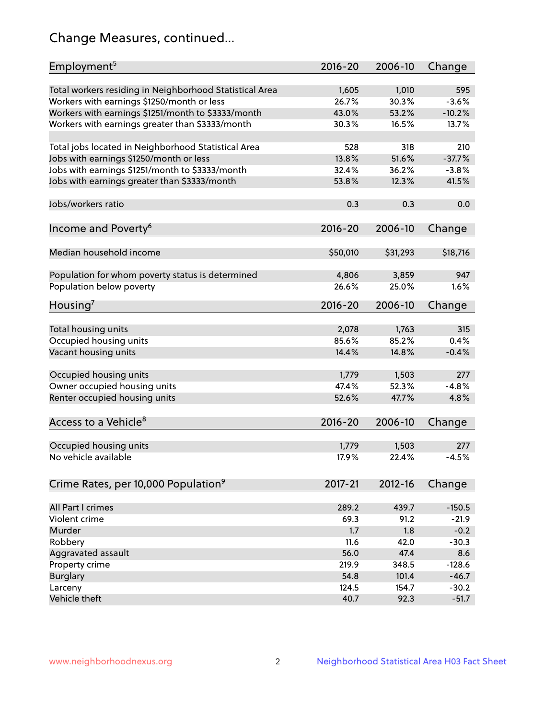# Change Measures, continued...

| Employment <sup>5</sup>                                 | $2016 - 20$ | 2006-10  | Change   |
|---------------------------------------------------------|-------------|----------|----------|
|                                                         |             |          |          |
| Total workers residing in Neighborhood Statistical Area | 1,605       | 1,010    | 595      |
| Workers with earnings \$1250/month or less              | 26.7%       | 30.3%    | $-3.6%$  |
| Workers with earnings \$1251/month to \$3333/month      | 43.0%       | 53.2%    | $-10.2%$ |
| Workers with earnings greater than \$3333/month         | 30.3%       | 16.5%    | 13.7%    |
| Total jobs located in Neighborhood Statistical Area     | 528         | 318      | 210      |
| Jobs with earnings \$1250/month or less                 | 13.8%       | 51.6%    | $-37.7%$ |
| Jobs with earnings \$1251/month to \$3333/month         | 32.4%       | 36.2%    | $-3.8%$  |
| Jobs with earnings greater than \$3333/month            | 53.8%       | 12.3%    | 41.5%    |
|                                                         |             |          |          |
| Jobs/workers ratio                                      | 0.3         | 0.3      | 0.0      |
|                                                         |             |          |          |
| Income and Poverty <sup>6</sup>                         | 2016-20     | 2006-10  | Change   |
| Median household income                                 | \$50,010    | \$31,293 | \$18,716 |
|                                                         |             |          |          |
| Population for whom poverty status is determined        | 4,806       | 3,859    | 947      |
| Population below poverty                                | 26.6%       | 25.0%    | 1.6%     |
| Housing <sup>7</sup>                                    | 2016-20     | 2006-10  | Change   |
|                                                         |             |          |          |
| Total housing units                                     | 2,078       | 1,763    | 315      |
| Occupied housing units                                  | 85.6%       | 85.2%    | 0.4%     |
| Vacant housing units                                    | 14.4%       | 14.8%    | $-0.4%$  |
|                                                         |             |          |          |
| Occupied housing units                                  | 1,779       | 1,503    | 277      |
| Owner occupied housing units                            | 47.4%       | 52.3%    | $-4.8%$  |
| Renter occupied housing units                           | 52.6%       | 47.7%    | 4.8%     |
|                                                         |             |          |          |
| Access to a Vehicle <sup>8</sup>                        | $2016 - 20$ | 2006-10  | Change   |
|                                                         |             |          |          |
| Occupied housing units                                  | 1,779       | 1,503    | 277      |
| No vehicle available                                    | 17.9%       | 22.4%    | $-4.5%$  |
| Crime Rates, per 10,000 Population <sup>9</sup>         | 2017-21     | 2012-16  | Change   |
|                                                         |             |          |          |
| All Part I crimes                                       | 289.2       | 439.7    | $-150.5$ |
| Violent crime                                           | 69.3        | 91.2     | $-21.9$  |
| Murder                                                  | 1.7         | 1.8      | $-0.2$   |
| Robbery                                                 | 11.6        | 42.0     | $-30.3$  |
| Aggravated assault                                      | 56.0        | 47.4     | 8.6      |
| Property crime                                          | 219.9       | 348.5    | $-128.6$ |
| <b>Burglary</b>                                         | 54.8        | 101.4    | $-46.7$  |
| Larceny                                                 | 124.5       | 154.7    | $-30.2$  |
| Vehicle theft                                           | 40.7        | 92.3     | $-51.7$  |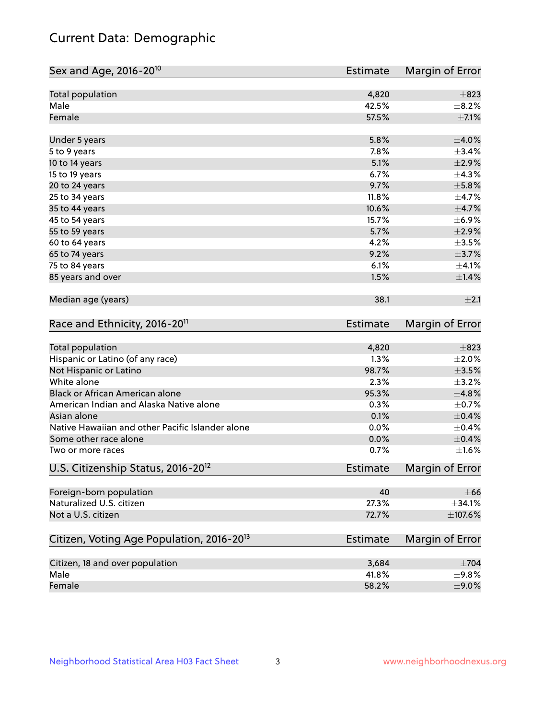# Current Data: Demographic

| Total population<br>4,820<br>Male<br>42.5%<br>Female<br>57.5%<br>$\pm$ 7.1%<br>5.8%<br>$\pm 4.0\%$<br>Under 5 years<br>7.8%<br>$\pm$ 3.4%<br>5 to 9 years<br>5.1%<br>10 to 14 years<br>6.7%<br>15 to 19 years<br>9.7%<br>$\pm$ 5.8%<br>20 to 24 years<br>11.8%<br>$\pm$ 4.7%<br>25 to 34 years<br>10.6%<br>$\pm$ 4.7%<br>35 to 44 years<br>15.7%<br>45 to 54 years<br>$\pm 2.9\%$<br>55 to 59 years<br>5.7%<br>4.2%<br>60 to 64 years<br>9.2%<br>$\pm$ 3.7%<br>65 to 74 years<br>75 to 84 years<br>6.1%<br>$\pm 4.1\%$<br>85 years and over<br>1.5%<br>±1.4%<br>Median age (years)<br>38.1<br>Race and Ethnicity, 2016-20 <sup>11</sup><br><b>Estimate</b><br><b>Total population</b><br>4,820<br>$\pm$ 823<br>1.3%<br>$\pm 2.0\%$<br>Hispanic or Latino (of any race)<br>$\pm 3.5\%$<br>Not Hispanic or Latino<br>98.7%<br>White alone<br>2.3%<br>$\pm$ 3.2%<br>Black or African American alone<br>95.3%<br>±4.8%<br>American Indian and Alaska Native alone<br>0.3%<br>$\pm$ 0.7%<br>$\pm$ 0.4%<br>Asian alone<br>0.1%<br>Native Hawaiian and other Pacific Islander alone<br>0.0%<br>$\pm$ 0.4%<br>0.0%<br>$\pm$ 0.4%<br>Some other race alone<br>0.7%<br>Two or more races<br>U.S. Citizenship Status, 2016-20 <sup>12</sup><br><b>Estimate</b><br>Foreign-born population<br>40<br>Naturalized U.S. citizen<br>27.3%<br>Not a U.S. citizen<br>72.7%<br>$\pm$ 107.6%<br>Citizen, Voting Age Population, 2016-20 <sup>13</sup><br>Estimate<br>Citizen, 18 and over population<br>$\pm 704$<br>3,684<br>Male<br>41.8%<br>58.2%<br>Female<br>$\pm$ 9.0% | Sex and Age, 2016-20 <sup>10</sup> | <b>Estimate</b> | Margin of Error |
|----------------------------------------------------------------------------------------------------------------------------------------------------------------------------------------------------------------------------------------------------------------------------------------------------------------------------------------------------------------------------------------------------------------------------------------------------------------------------------------------------------------------------------------------------------------------------------------------------------------------------------------------------------------------------------------------------------------------------------------------------------------------------------------------------------------------------------------------------------------------------------------------------------------------------------------------------------------------------------------------------------------------------------------------------------------------------------------------------------------------------------------------------------------------------------------------------------------------------------------------------------------------------------------------------------------------------------------------------------------------------------------------------------------------------------------------------------------------------------------------------------------------------------------------------------|------------------------------------|-----------------|-----------------|
|                                                                                                                                                                                                                                                                                                                                                                                                                                                                                                                                                                                                                                                                                                                                                                                                                                                                                                                                                                                                                                                                                                                                                                                                                                                                                                                                                                                                                                                                                                                                                          |                                    |                 | $\pm$ 823       |
|                                                                                                                                                                                                                                                                                                                                                                                                                                                                                                                                                                                                                                                                                                                                                                                                                                                                                                                                                                                                                                                                                                                                                                                                                                                                                                                                                                                                                                                                                                                                                          |                                    |                 | $\pm$ 8.2%      |
|                                                                                                                                                                                                                                                                                                                                                                                                                                                                                                                                                                                                                                                                                                                                                                                                                                                                                                                                                                                                                                                                                                                                                                                                                                                                                                                                                                                                                                                                                                                                                          |                                    |                 |                 |
|                                                                                                                                                                                                                                                                                                                                                                                                                                                                                                                                                                                                                                                                                                                                                                                                                                                                                                                                                                                                                                                                                                                                                                                                                                                                                                                                                                                                                                                                                                                                                          |                                    |                 |                 |
|                                                                                                                                                                                                                                                                                                                                                                                                                                                                                                                                                                                                                                                                                                                                                                                                                                                                                                                                                                                                                                                                                                                                                                                                                                                                                                                                                                                                                                                                                                                                                          |                                    |                 |                 |
|                                                                                                                                                                                                                                                                                                                                                                                                                                                                                                                                                                                                                                                                                                                                                                                                                                                                                                                                                                                                                                                                                                                                                                                                                                                                                                                                                                                                                                                                                                                                                          |                                    |                 | $\pm 2.9\%$     |
|                                                                                                                                                                                                                                                                                                                                                                                                                                                                                                                                                                                                                                                                                                                                                                                                                                                                                                                                                                                                                                                                                                                                                                                                                                                                                                                                                                                                                                                                                                                                                          |                                    |                 | ±4.3%           |
|                                                                                                                                                                                                                                                                                                                                                                                                                                                                                                                                                                                                                                                                                                                                                                                                                                                                                                                                                                                                                                                                                                                                                                                                                                                                                                                                                                                                                                                                                                                                                          |                                    |                 |                 |
|                                                                                                                                                                                                                                                                                                                                                                                                                                                                                                                                                                                                                                                                                                                                                                                                                                                                                                                                                                                                                                                                                                                                                                                                                                                                                                                                                                                                                                                                                                                                                          |                                    |                 |                 |
|                                                                                                                                                                                                                                                                                                                                                                                                                                                                                                                                                                                                                                                                                                                                                                                                                                                                                                                                                                                                                                                                                                                                                                                                                                                                                                                                                                                                                                                                                                                                                          |                                    |                 |                 |
|                                                                                                                                                                                                                                                                                                                                                                                                                                                                                                                                                                                                                                                                                                                                                                                                                                                                                                                                                                                                                                                                                                                                                                                                                                                                                                                                                                                                                                                                                                                                                          |                                    |                 | $\pm$ 6.9%      |
|                                                                                                                                                                                                                                                                                                                                                                                                                                                                                                                                                                                                                                                                                                                                                                                                                                                                                                                                                                                                                                                                                                                                                                                                                                                                                                                                                                                                                                                                                                                                                          |                                    |                 |                 |
|                                                                                                                                                                                                                                                                                                                                                                                                                                                                                                                                                                                                                                                                                                                                                                                                                                                                                                                                                                                                                                                                                                                                                                                                                                                                                                                                                                                                                                                                                                                                                          |                                    |                 | $\pm$ 3.5%      |
|                                                                                                                                                                                                                                                                                                                                                                                                                                                                                                                                                                                                                                                                                                                                                                                                                                                                                                                                                                                                                                                                                                                                                                                                                                                                                                                                                                                                                                                                                                                                                          |                                    |                 |                 |
|                                                                                                                                                                                                                                                                                                                                                                                                                                                                                                                                                                                                                                                                                                                                                                                                                                                                                                                                                                                                                                                                                                                                                                                                                                                                                                                                                                                                                                                                                                                                                          |                                    |                 |                 |
|                                                                                                                                                                                                                                                                                                                                                                                                                                                                                                                                                                                                                                                                                                                                                                                                                                                                                                                                                                                                                                                                                                                                                                                                                                                                                                                                                                                                                                                                                                                                                          |                                    |                 |                 |
|                                                                                                                                                                                                                                                                                                                                                                                                                                                                                                                                                                                                                                                                                                                                                                                                                                                                                                                                                                                                                                                                                                                                                                                                                                                                                                                                                                                                                                                                                                                                                          |                                    |                 | ±2.1            |
|                                                                                                                                                                                                                                                                                                                                                                                                                                                                                                                                                                                                                                                                                                                                                                                                                                                                                                                                                                                                                                                                                                                                                                                                                                                                                                                                                                                                                                                                                                                                                          |                                    |                 | Margin of Error |
|                                                                                                                                                                                                                                                                                                                                                                                                                                                                                                                                                                                                                                                                                                                                                                                                                                                                                                                                                                                                                                                                                                                                                                                                                                                                                                                                                                                                                                                                                                                                                          |                                    |                 |                 |
|                                                                                                                                                                                                                                                                                                                                                                                                                                                                                                                                                                                                                                                                                                                                                                                                                                                                                                                                                                                                                                                                                                                                                                                                                                                                                                                                                                                                                                                                                                                                                          |                                    |                 |                 |
|                                                                                                                                                                                                                                                                                                                                                                                                                                                                                                                                                                                                                                                                                                                                                                                                                                                                                                                                                                                                                                                                                                                                                                                                                                                                                                                                                                                                                                                                                                                                                          |                                    |                 |                 |
|                                                                                                                                                                                                                                                                                                                                                                                                                                                                                                                                                                                                                                                                                                                                                                                                                                                                                                                                                                                                                                                                                                                                                                                                                                                                                                                                                                                                                                                                                                                                                          |                                    |                 |                 |
|                                                                                                                                                                                                                                                                                                                                                                                                                                                                                                                                                                                                                                                                                                                                                                                                                                                                                                                                                                                                                                                                                                                                                                                                                                                                                                                                                                                                                                                                                                                                                          |                                    |                 |                 |
|                                                                                                                                                                                                                                                                                                                                                                                                                                                                                                                                                                                                                                                                                                                                                                                                                                                                                                                                                                                                                                                                                                                                                                                                                                                                                                                                                                                                                                                                                                                                                          |                                    |                 |                 |
|                                                                                                                                                                                                                                                                                                                                                                                                                                                                                                                                                                                                                                                                                                                                                                                                                                                                                                                                                                                                                                                                                                                                                                                                                                                                                                                                                                                                                                                                                                                                                          |                                    |                 |                 |
|                                                                                                                                                                                                                                                                                                                                                                                                                                                                                                                                                                                                                                                                                                                                                                                                                                                                                                                                                                                                                                                                                                                                                                                                                                                                                                                                                                                                                                                                                                                                                          |                                    |                 |                 |
|                                                                                                                                                                                                                                                                                                                                                                                                                                                                                                                                                                                                                                                                                                                                                                                                                                                                                                                                                                                                                                                                                                                                                                                                                                                                                                                                                                                                                                                                                                                                                          |                                    |                 |                 |
|                                                                                                                                                                                                                                                                                                                                                                                                                                                                                                                                                                                                                                                                                                                                                                                                                                                                                                                                                                                                                                                                                                                                                                                                                                                                                                                                                                                                                                                                                                                                                          |                                    |                 | $\pm 1.6\%$     |
|                                                                                                                                                                                                                                                                                                                                                                                                                                                                                                                                                                                                                                                                                                                                                                                                                                                                                                                                                                                                                                                                                                                                                                                                                                                                                                                                                                                                                                                                                                                                                          |                                    |                 | Margin of Error |
|                                                                                                                                                                                                                                                                                                                                                                                                                                                                                                                                                                                                                                                                                                                                                                                                                                                                                                                                                                                                                                                                                                                                                                                                                                                                                                                                                                                                                                                                                                                                                          |                                    |                 | $\pm 66$        |
|                                                                                                                                                                                                                                                                                                                                                                                                                                                                                                                                                                                                                                                                                                                                                                                                                                                                                                                                                                                                                                                                                                                                                                                                                                                                                                                                                                                                                                                                                                                                                          |                                    |                 | ±34.1%          |
|                                                                                                                                                                                                                                                                                                                                                                                                                                                                                                                                                                                                                                                                                                                                                                                                                                                                                                                                                                                                                                                                                                                                                                                                                                                                                                                                                                                                                                                                                                                                                          |                                    |                 |                 |
|                                                                                                                                                                                                                                                                                                                                                                                                                                                                                                                                                                                                                                                                                                                                                                                                                                                                                                                                                                                                                                                                                                                                                                                                                                                                                                                                                                                                                                                                                                                                                          |                                    |                 | Margin of Error |
|                                                                                                                                                                                                                                                                                                                                                                                                                                                                                                                                                                                                                                                                                                                                                                                                                                                                                                                                                                                                                                                                                                                                                                                                                                                                                                                                                                                                                                                                                                                                                          |                                    |                 |                 |
|                                                                                                                                                                                                                                                                                                                                                                                                                                                                                                                                                                                                                                                                                                                                                                                                                                                                                                                                                                                                                                                                                                                                                                                                                                                                                                                                                                                                                                                                                                                                                          |                                    |                 | ±9.8%           |
|                                                                                                                                                                                                                                                                                                                                                                                                                                                                                                                                                                                                                                                                                                                                                                                                                                                                                                                                                                                                                                                                                                                                                                                                                                                                                                                                                                                                                                                                                                                                                          |                                    |                 |                 |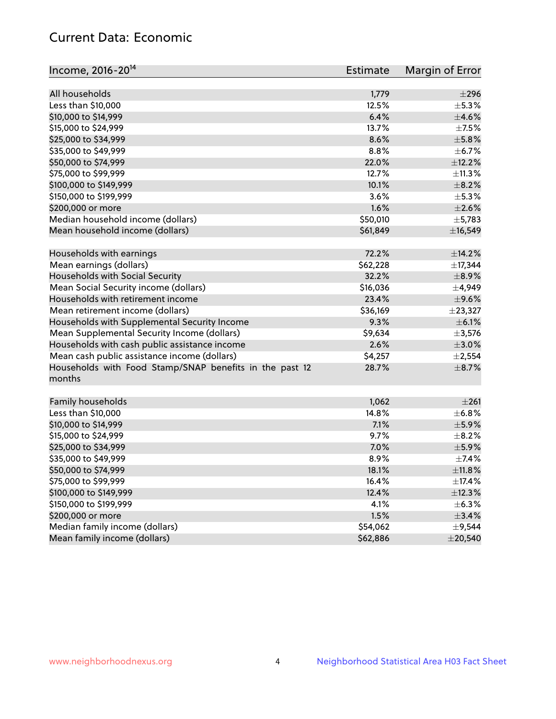# Current Data: Economic

| Income, 2016-20 <sup>14</sup>                                     | <b>Estimate</b> | Margin of Error |
|-------------------------------------------------------------------|-----------------|-----------------|
| All households                                                    | 1,779           | $\pm 296$       |
| Less than \$10,000                                                | 12.5%           | $\pm$ 5.3%      |
| \$10,000 to \$14,999                                              | 6.4%            | $\pm 4.6\%$     |
| \$15,000 to \$24,999                                              | 13.7%           | $\pm$ 7.5%      |
| \$25,000 to \$34,999                                              | 8.6%            | $\pm$ 5.8%      |
|                                                                   |                 |                 |
| \$35,000 to \$49,999                                              | 8.8%            | $\pm$ 6.7%      |
| \$50,000 to \$74,999                                              | 22.0%           | $\pm$ 12.2%     |
| \$75,000 to \$99,999                                              | 12.7%           | ±11.3%          |
| \$100,000 to \$149,999                                            | 10.1%           | $\pm$ 8.2%      |
| \$150,000 to \$199,999                                            | 3.6%            | $\pm$ 5.3%      |
| \$200,000 or more                                                 | 1.6%            | $\pm 2.6\%$     |
| Median household income (dollars)                                 | \$50,010        | $\pm$ 5,783     |
| Mean household income (dollars)                                   | \$61,849        | ±16,549         |
| Households with earnings                                          | 72.2%           | ±14.2%          |
| Mean earnings (dollars)                                           | \$62,228        | ±17,344         |
| Households with Social Security                                   | 32.2%           | $\pm$ 8.9%      |
| Mean Social Security income (dollars)                             | \$16,036        | ±4,949          |
| Households with retirement income                                 | 23.4%           | $\pm$ 9.6%      |
| Mean retirement income (dollars)                                  | \$36,169        | ±23,327         |
| Households with Supplemental Security Income                      | 9.3%            | $\pm$ 6.1%      |
| Mean Supplemental Security Income (dollars)                       | \$9,634         | $\pm$ 3,576     |
| Households with cash public assistance income                     | 2.6%            | $\pm 3.0\%$     |
| Mean cash public assistance income (dollars)                      | \$4,257         | $\pm 2,554$     |
| Households with Food Stamp/SNAP benefits in the past 12<br>months | 28.7%           | $\pm$ 8.7%      |
| Family households                                                 | 1,062           | ±261            |
| Less than \$10,000                                                | 14.8%           | $\pm$ 6.8%      |
| \$10,000 to \$14,999                                              | 7.1%            | $\pm$ 5.9%      |
| \$15,000 to \$24,999                                              | 9.7%            | $\pm$ 8.2%      |
| \$25,000 to \$34,999                                              | 7.0%            | $\pm$ 5.9%      |
| \$35,000 to \$49,999                                              | 8.9%            | ±7.4%           |
| \$50,000 to \$74,999                                              | 18.1%           | ±11.8%          |
| \$75,000 to \$99,999                                              | 16.4%           | ±17.4%          |
| \$100,000 to \$149,999                                            | 12.4%           |                 |
|                                                                   |                 | ±12.3%          |
| \$150,000 to \$199,999                                            | 4.1%            | $\pm$ 6.3%      |
| \$200,000 or more                                                 | 1.5%            | $\pm$ 3.4%      |
| Median family income (dollars)                                    | \$54,062        | ±9,544          |
| Mean family income (dollars)                                      | \$62,886        | $±$ 20,540      |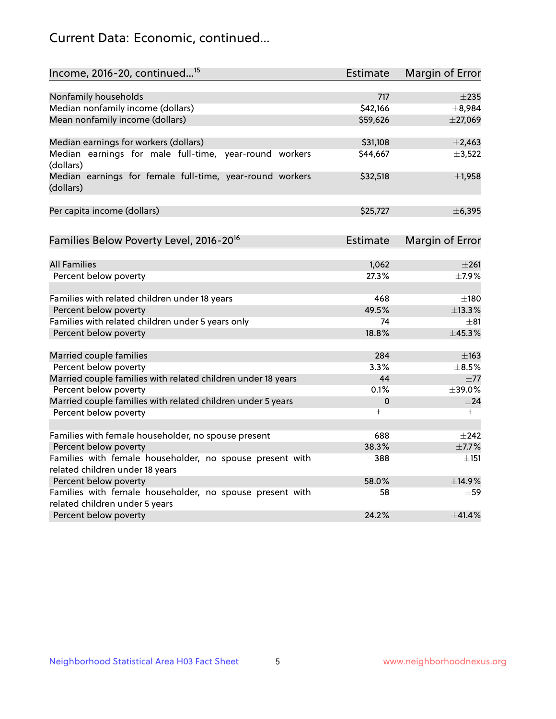# Current Data: Economic, continued...

| Income, 2016-20, continued <sup>15</sup>                              | <b>Estimate</b> | Margin of Error        |
|-----------------------------------------------------------------------|-----------------|------------------------|
|                                                                       |                 |                        |
| Nonfamily households                                                  | 717             | $\pm 235$              |
| Median nonfamily income (dollars)                                     | \$42,166        | ±8,984                 |
| Mean nonfamily income (dollars)                                       | \$59,626        | $±$ 27,069             |
| Median earnings for workers (dollars)                                 | \$31,108        | $\pm$ 2,463            |
| Median earnings for male full-time, year-round workers<br>(dollars)   | \$44,667        | ±3,522                 |
| Median earnings for female full-time, year-round workers<br>(dollars) | \$32,518        | ±1,958                 |
| Per capita income (dollars)                                           | \$25,727        | ±6,395                 |
| Families Below Poverty Level, 2016-20 <sup>16</sup>                   | <b>Estimate</b> | <b>Margin of Error</b> |
|                                                                       |                 |                        |
| <b>All Families</b>                                                   | 1,062           | $\pm 261$              |
| Percent below poverty                                                 | 27.3%           | ±7.9%                  |
| Families with related children under 18 years                         | 468             | $\pm$ 180              |
| Percent below poverty                                                 | 49.5%           | ±13.3%                 |
| Families with related children under 5 years only                     | 74              | $\pm$ 81               |
| Percent below poverty                                                 | 18.8%           | ±45.3%                 |
| Married couple families                                               | 284             | $\pm$ 163              |
| Percent below poverty                                                 | 3.3%            | $\pm$ 8.5%             |
| Married couple families with related children under 18 years          | 44              | $\pm$ 77               |
| Percent below poverty                                                 | $0.1\%$         | ±39.0%                 |
| Married couple families with related children under 5 years           | 0               | $\pm$ 24               |
| Percent below poverty                                                 | $\ddagger$      | $^+$                   |
| Families with female householder, no spouse present                   | 688             | $\pm 242$              |
| Percent below poverty                                                 | 38.3%           | $\pm$ 7.7%             |
| Families with female householder, no spouse present with              | 388             | ±151                   |
| related children under 18 years                                       |                 |                        |
| Percent below poverty                                                 | 58.0%           | ±14.9%                 |
| Families with female householder, no spouse present with              | 58              | $\pm$ 59               |
| related children under 5 years                                        |                 |                        |
| Percent below poverty                                                 | 24.2%           | ±41.4%                 |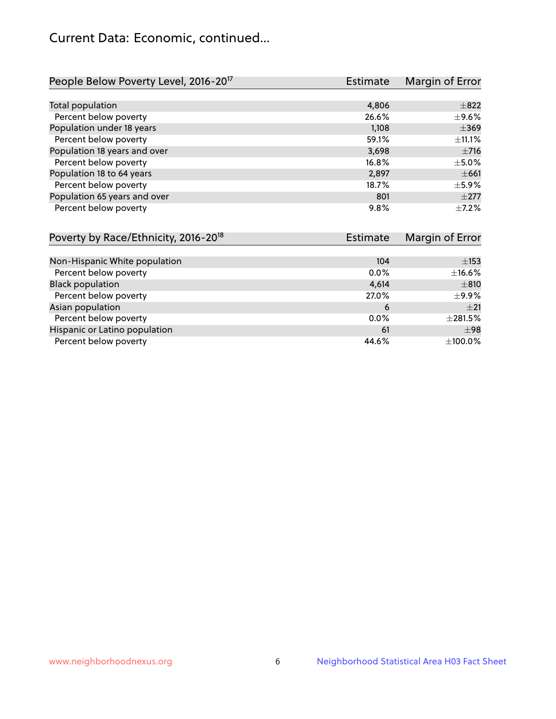# Current Data: Economic, continued...

| People Below Poverty Level, 2016-20 <sup>17</sup> | <b>Estimate</b> | Margin of Error |
|---------------------------------------------------|-----------------|-----------------|
|                                                   |                 |                 |
| Total population                                  | 4,806           | $\pm$ 822       |
| Percent below poverty                             | 26.6%           | $\pm$ 9.6%      |
| Population under 18 years                         | 1,108           | $\pm$ 369       |
| Percent below poverty                             | 59.1%           | ±11.1%          |
| Population 18 years and over                      | 3,698           | $\pm 716$       |
| Percent below poverty                             | 16.8%           | $\pm$ 5.0%      |
| Population 18 to 64 years                         | 2,897           | $\pm 661$       |
| Percent below poverty                             | 18.7%           | $\pm$ 5.9%      |
| Population 65 years and over                      | 801             | $\pm 277$       |
| Percent below poverty                             | 9.8%            | $+7.2%$         |

| Poverty by Race/Ethnicity, 2016-20 <sup>18</sup> | <b>Estimate</b> | Margin of Error |
|--------------------------------------------------|-----------------|-----------------|
|                                                  |                 |                 |
| Non-Hispanic White population                    | 104             | $\pm$ 153       |
| Percent below poverty                            | $0.0\%$         | $\pm$ 16.6%     |
| <b>Black population</b>                          | 4,614           | $\pm 810$       |
| Percent below poverty                            | 27.0%           | ±9.9%           |
| Asian population                                 | 6               | $\pm 21$        |
| Percent below poverty                            | $0.0\%$         | ±281.5%         |
| Hispanic or Latino population                    | 61              | $\pm$ 98        |
| Percent below poverty                            | 44.6%           | $\pm 100.0\%$   |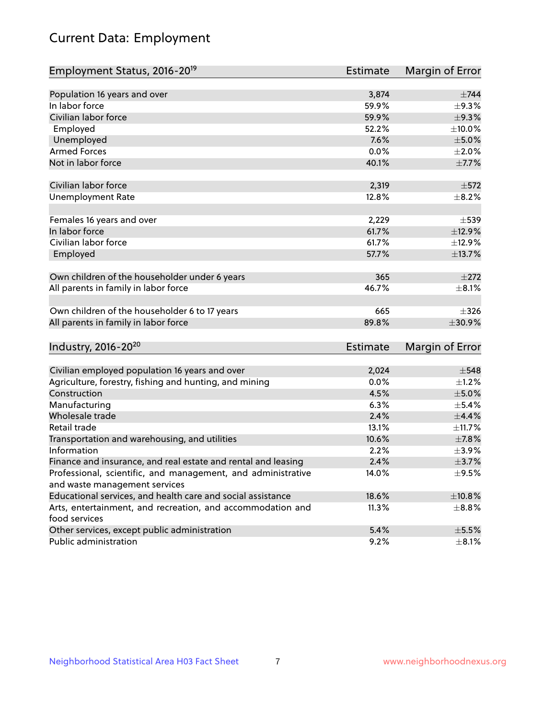# Current Data: Employment

| Employment Status, 2016-20 <sup>19</sup>                      | <b>Estimate</b> | Margin of Error |
|---------------------------------------------------------------|-----------------|-----------------|
|                                                               |                 |                 |
| Population 16 years and over                                  | 3,874           | $\pm$ 744       |
| In labor force                                                | 59.9%           | $\pm$ 9.3%      |
| Civilian labor force                                          | 59.9%           | ±9.3%           |
| Employed                                                      | 52.2%           | $\pm$ 10.0%     |
| Unemployed                                                    | 7.6%            | $\pm$ 5.0%      |
| <b>Armed Forces</b>                                           | 0.0%            | $\pm 2.0\%$     |
| Not in labor force                                            | 40.1%           | $\pm$ 7.7%      |
| Civilian labor force                                          | 2,319           | $\pm 572$       |
| <b>Unemployment Rate</b>                                      | 12.8%           | $\pm$ 8.2%      |
|                                                               |                 |                 |
| Females 16 years and over                                     | 2,229           | $\pm$ 539       |
| In labor force                                                | 61.7%           | ±12.9%          |
| Civilian labor force                                          | 61.7%           | ±12.9%          |
| Employed                                                      | 57.7%           | ±13.7%          |
| Own children of the householder under 6 years                 | 365             | ±272            |
| All parents in family in labor force                          | 46.7%           | $\pm$ 8.1%      |
|                                                               |                 |                 |
| Own children of the householder 6 to 17 years                 | 665             | $\pm$ 326       |
| All parents in family in labor force                          | 89.8%           | ±30.9%          |
| Industry, 2016-20 <sup>20</sup>                               | Estimate        |                 |
|                                                               |                 | Margin of Error |
| Civilian employed population 16 years and over                | 2,024           | $\pm$ 548       |
| Agriculture, forestry, fishing and hunting, and mining        | 0.0%            | $\pm$ 1.2%      |
| Construction                                                  | 4.5%            | $\pm$ 5.0%      |
| Manufacturing                                                 | 6.3%            | $\pm$ 5.4%      |
| Wholesale trade                                               | 2.4%            | $\pm$ 4.4%      |
| Retail trade                                                  | 13.1%           | $\pm$ 11.7%     |
| Transportation and warehousing, and utilities                 | 10.6%           | $\pm$ 7.8%      |
| Information                                                   | 2.2%            | $\pm$ 3.9%      |
| Finance and insurance, and real estate and rental and leasing | 2.4%            | $\pm$ 3.7%      |
| Professional, scientific, and management, and administrative  | 14.0%           | $\pm$ 9.5%      |
| and waste management services                                 |                 |                 |
| Educational services, and health care and social assistance   | 18.6%           | ±10.8%          |
| Arts, entertainment, and recreation, and accommodation and    | 11.3%           | $\pm$ 8.8%      |
| food services                                                 |                 |                 |
| Other services, except public administration                  | 5.4%            | $\pm$ 5.5%      |
| Public administration                                         | 9.2%            | $\pm$ 8.1%      |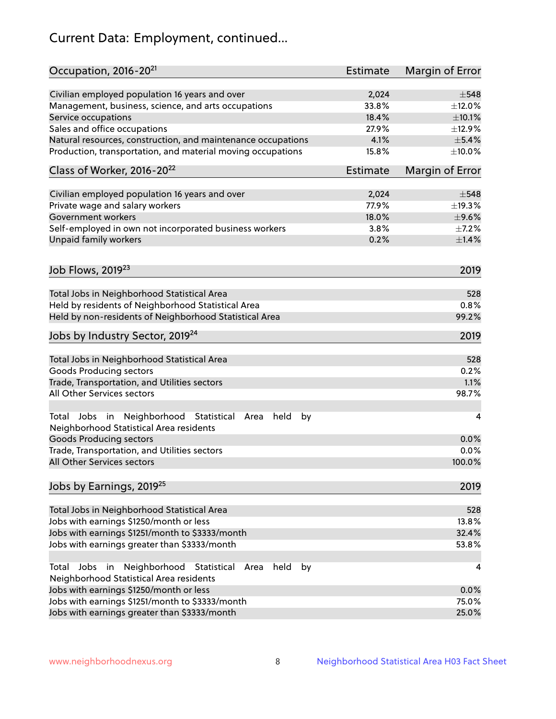# Current Data: Employment, continued...

| Civilian employed population 16 years and over<br>2,024<br>$\pm$ 548<br>Management, business, science, and arts occupations<br>33.8%<br>±12.0%<br>18.4%<br>Service occupations<br>$\pm 10.1\%$<br>Sales and office occupations<br>27.9%<br>±12.9%<br>4.1%<br>$\pm$ 5.4%<br>Natural resources, construction, and maintenance occupations<br>15.8%<br>$\pm$ 10.0%<br>Production, transportation, and material moving occupations<br>Class of Worker, 2016-20 <sup>22</sup><br><b>Estimate</b><br>Margin of Error<br>Civilian employed population 16 years and over<br>2,024<br>$+548$<br>Private wage and salary workers<br>77.9%<br>±19.3%<br>$\pm$ 9.6%<br>Government workers<br>18.0%<br>Self-employed in own not incorporated business workers<br>3.8%<br>$\pm$ 7.2%<br>$\pm 1.4\%$<br>Unpaid family workers<br>0.2%<br>Job Flows, 2019 <sup>23</sup><br>2019<br>Total Jobs in Neighborhood Statistical Area<br>528<br>Held by residents of Neighborhood Statistical Area<br>0.8%<br>Held by non-residents of Neighborhood Statistical Area<br>99.2%<br>Jobs by Industry Sector, 2019 <sup>24</sup><br>2019<br>Total Jobs in Neighborhood Statistical Area<br>528<br><b>Goods Producing sectors</b><br>0.2%<br>Trade, Transportation, and Utilities sectors<br>1.1%<br>All Other Services sectors<br>98.7%<br>Total Jobs in Neighborhood Statistical<br>held<br>by<br>Area<br>4<br>Neighborhood Statistical Area residents<br><b>Goods Producing sectors</b><br>0.0%<br>Trade, Transportation, and Utilities sectors<br>0.0%<br>All Other Services sectors<br>100.0%<br>Jobs by Earnings, 2019 <sup>25</sup><br>2019<br>Total Jobs in Neighborhood Statistical Area<br>528<br>13.8%<br>Jobs with earnings \$1250/month or less<br>Jobs with earnings \$1251/month to \$3333/month<br>32.4%<br>Jobs with earnings greater than \$3333/month<br>53.8%<br>Neighborhood Statistical<br>Jobs<br>in<br>Area<br>held<br>by<br>Total<br>4<br>Neighborhood Statistical Area residents<br>Jobs with earnings \$1250/month or less<br>0.0%<br>Jobs with earnings \$1251/month to \$3333/month<br>75.0%<br>Jobs with earnings greater than \$3333/month<br>25.0% | Occupation, 2016-20 <sup>21</sup> | <b>Estimate</b> | Margin of Error |
|--------------------------------------------------------------------------------------------------------------------------------------------------------------------------------------------------------------------------------------------------------------------------------------------------------------------------------------------------------------------------------------------------------------------------------------------------------------------------------------------------------------------------------------------------------------------------------------------------------------------------------------------------------------------------------------------------------------------------------------------------------------------------------------------------------------------------------------------------------------------------------------------------------------------------------------------------------------------------------------------------------------------------------------------------------------------------------------------------------------------------------------------------------------------------------------------------------------------------------------------------------------------------------------------------------------------------------------------------------------------------------------------------------------------------------------------------------------------------------------------------------------------------------------------------------------------------------------------------------------------------------------------------------------------------------------------------------------------------------------------------------------------------------------------------------------------------------------------------------------------------------------------------------------------------------------------------------------------------------------------------------------------------------------------------------------------------------------------------------------------------------------------------------|-----------------------------------|-----------------|-----------------|
|                                                                                                                                                                                                                                                                                                                                                                                                                                                                                                                                                                                                                                                                                                                                                                                                                                                                                                                                                                                                                                                                                                                                                                                                                                                                                                                                                                                                                                                                                                                                                                                                                                                                                                                                                                                                                                                                                                                                                                                                                                                                                                                                                        |                                   |                 |                 |
|                                                                                                                                                                                                                                                                                                                                                                                                                                                                                                                                                                                                                                                                                                                                                                                                                                                                                                                                                                                                                                                                                                                                                                                                                                                                                                                                                                                                                                                                                                                                                                                                                                                                                                                                                                                                                                                                                                                                                                                                                                                                                                                                                        |                                   |                 |                 |
|                                                                                                                                                                                                                                                                                                                                                                                                                                                                                                                                                                                                                                                                                                                                                                                                                                                                                                                                                                                                                                                                                                                                                                                                                                                                                                                                                                                                                                                                                                                                                                                                                                                                                                                                                                                                                                                                                                                                                                                                                                                                                                                                                        |                                   |                 |                 |
|                                                                                                                                                                                                                                                                                                                                                                                                                                                                                                                                                                                                                                                                                                                                                                                                                                                                                                                                                                                                                                                                                                                                                                                                                                                                                                                                                                                                                                                                                                                                                                                                                                                                                                                                                                                                                                                                                                                                                                                                                                                                                                                                                        |                                   |                 |                 |
|                                                                                                                                                                                                                                                                                                                                                                                                                                                                                                                                                                                                                                                                                                                                                                                                                                                                                                                                                                                                                                                                                                                                                                                                                                                                                                                                                                                                                                                                                                                                                                                                                                                                                                                                                                                                                                                                                                                                                                                                                                                                                                                                                        |                                   |                 |                 |
|                                                                                                                                                                                                                                                                                                                                                                                                                                                                                                                                                                                                                                                                                                                                                                                                                                                                                                                                                                                                                                                                                                                                                                                                                                                                                                                                                                                                                                                                                                                                                                                                                                                                                                                                                                                                                                                                                                                                                                                                                                                                                                                                                        |                                   |                 |                 |
|                                                                                                                                                                                                                                                                                                                                                                                                                                                                                                                                                                                                                                                                                                                                                                                                                                                                                                                                                                                                                                                                                                                                                                                                                                                                                                                                                                                                                                                                                                                                                                                                                                                                                                                                                                                                                                                                                                                                                                                                                                                                                                                                                        |                                   |                 |                 |
|                                                                                                                                                                                                                                                                                                                                                                                                                                                                                                                                                                                                                                                                                                                                                                                                                                                                                                                                                                                                                                                                                                                                                                                                                                                                                                                                                                                                                                                                                                                                                                                                                                                                                                                                                                                                                                                                                                                                                                                                                                                                                                                                                        |                                   |                 |                 |
|                                                                                                                                                                                                                                                                                                                                                                                                                                                                                                                                                                                                                                                                                                                                                                                                                                                                                                                                                                                                                                                                                                                                                                                                                                                                                                                                                                                                                                                                                                                                                                                                                                                                                                                                                                                                                                                                                                                                                                                                                                                                                                                                                        |                                   |                 |                 |
|                                                                                                                                                                                                                                                                                                                                                                                                                                                                                                                                                                                                                                                                                                                                                                                                                                                                                                                                                                                                                                                                                                                                                                                                                                                                                                                                                                                                                                                                                                                                                                                                                                                                                                                                                                                                                                                                                                                                                                                                                                                                                                                                                        |                                   |                 |                 |
|                                                                                                                                                                                                                                                                                                                                                                                                                                                                                                                                                                                                                                                                                                                                                                                                                                                                                                                                                                                                                                                                                                                                                                                                                                                                                                                                                                                                                                                                                                                                                                                                                                                                                                                                                                                                                                                                                                                                                                                                                                                                                                                                                        |                                   |                 |                 |
|                                                                                                                                                                                                                                                                                                                                                                                                                                                                                                                                                                                                                                                                                                                                                                                                                                                                                                                                                                                                                                                                                                                                                                                                                                                                                                                                                                                                                                                                                                                                                                                                                                                                                                                                                                                                                                                                                                                                                                                                                                                                                                                                                        |                                   |                 |                 |
|                                                                                                                                                                                                                                                                                                                                                                                                                                                                                                                                                                                                                                                                                                                                                                                                                                                                                                                                                                                                                                                                                                                                                                                                                                                                                                                                                                                                                                                                                                                                                                                                                                                                                                                                                                                                                                                                                                                                                                                                                                                                                                                                                        |                                   |                 |                 |
|                                                                                                                                                                                                                                                                                                                                                                                                                                                                                                                                                                                                                                                                                                                                                                                                                                                                                                                                                                                                                                                                                                                                                                                                                                                                                                                                                                                                                                                                                                                                                                                                                                                                                                                                                                                                                                                                                                                                                                                                                                                                                                                                                        |                                   |                 |                 |
|                                                                                                                                                                                                                                                                                                                                                                                                                                                                                                                                                                                                                                                                                                                                                                                                                                                                                                                                                                                                                                                                                                                                                                                                                                                                                                                                                                                                                                                                                                                                                                                                                                                                                                                                                                                                                                                                                                                                                                                                                                                                                                                                                        |                                   |                 |                 |
|                                                                                                                                                                                                                                                                                                                                                                                                                                                                                                                                                                                                                                                                                                                                                                                                                                                                                                                                                                                                                                                                                                                                                                                                                                                                                                                                                                                                                                                                                                                                                                                                                                                                                                                                                                                                                                                                                                                                                                                                                                                                                                                                                        |                                   |                 |                 |
|                                                                                                                                                                                                                                                                                                                                                                                                                                                                                                                                                                                                                                                                                                                                                                                                                                                                                                                                                                                                                                                                                                                                                                                                                                                                                                                                                                                                                                                                                                                                                                                                                                                                                                                                                                                                                                                                                                                                                                                                                                                                                                                                                        |                                   |                 |                 |
|                                                                                                                                                                                                                                                                                                                                                                                                                                                                                                                                                                                                                                                                                                                                                                                                                                                                                                                                                                                                                                                                                                                                                                                                                                                                                                                                                                                                                                                                                                                                                                                                                                                                                                                                                                                                                                                                                                                                                                                                                                                                                                                                                        |                                   |                 |                 |
|                                                                                                                                                                                                                                                                                                                                                                                                                                                                                                                                                                                                                                                                                                                                                                                                                                                                                                                                                                                                                                                                                                                                                                                                                                                                                                                                                                                                                                                                                                                                                                                                                                                                                                                                                                                                                                                                                                                                                                                                                                                                                                                                                        |                                   |                 |                 |
|                                                                                                                                                                                                                                                                                                                                                                                                                                                                                                                                                                                                                                                                                                                                                                                                                                                                                                                                                                                                                                                                                                                                                                                                                                                                                                                                                                                                                                                                                                                                                                                                                                                                                                                                                                                                                                                                                                                                                                                                                                                                                                                                                        |                                   |                 |                 |
|                                                                                                                                                                                                                                                                                                                                                                                                                                                                                                                                                                                                                                                                                                                                                                                                                                                                                                                                                                                                                                                                                                                                                                                                                                                                                                                                                                                                                                                                                                                                                                                                                                                                                                                                                                                                                                                                                                                                                                                                                                                                                                                                                        |                                   |                 |                 |
|                                                                                                                                                                                                                                                                                                                                                                                                                                                                                                                                                                                                                                                                                                                                                                                                                                                                                                                                                                                                                                                                                                                                                                                                                                                                                                                                                                                                                                                                                                                                                                                                                                                                                                                                                                                                                                                                                                                                                                                                                                                                                                                                                        |                                   |                 |                 |
|                                                                                                                                                                                                                                                                                                                                                                                                                                                                                                                                                                                                                                                                                                                                                                                                                                                                                                                                                                                                                                                                                                                                                                                                                                                                                                                                                                                                                                                                                                                                                                                                                                                                                                                                                                                                                                                                                                                                                                                                                                                                                                                                                        |                                   |                 |                 |
|                                                                                                                                                                                                                                                                                                                                                                                                                                                                                                                                                                                                                                                                                                                                                                                                                                                                                                                                                                                                                                                                                                                                                                                                                                                                                                                                                                                                                                                                                                                                                                                                                                                                                                                                                                                                                                                                                                                                                                                                                                                                                                                                                        |                                   |                 |                 |
|                                                                                                                                                                                                                                                                                                                                                                                                                                                                                                                                                                                                                                                                                                                                                                                                                                                                                                                                                                                                                                                                                                                                                                                                                                                                                                                                                                                                                                                                                                                                                                                                                                                                                                                                                                                                                                                                                                                                                                                                                                                                                                                                                        |                                   |                 |                 |
|                                                                                                                                                                                                                                                                                                                                                                                                                                                                                                                                                                                                                                                                                                                                                                                                                                                                                                                                                                                                                                                                                                                                                                                                                                                                                                                                                                                                                                                                                                                                                                                                                                                                                                                                                                                                                                                                                                                                                                                                                                                                                                                                                        |                                   |                 |                 |
|                                                                                                                                                                                                                                                                                                                                                                                                                                                                                                                                                                                                                                                                                                                                                                                                                                                                                                                                                                                                                                                                                                                                                                                                                                                                                                                                                                                                                                                                                                                                                                                                                                                                                                                                                                                                                                                                                                                                                                                                                                                                                                                                                        |                                   |                 |                 |
|                                                                                                                                                                                                                                                                                                                                                                                                                                                                                                                                                                                                                                                                                                                                                                                                                                                                                                                                                                                                                                                                                                                                                                                                                                                                                                                                                                                                                                                                                                                                                                                                                                                                                                                                                                                                                                                                                                                                                                                                                                                                                                                                                        |                                   |                 |                 |
|                                                                                                                                                                                                                                                                                                                                                                                                                                                                                                                                                                                                                                                                                                                                                                                                                                                                                                                                                                                                                                                                                                                                                                                                                                                                                                                                                                                                                                                                                                                                                                                                                                                                                                                                                                                                                                                                                                                                                                                                                                                                                                                                                        |                                   |                 |                 |
|                                                                                                                                                                                                                                                                                                                                                                                                                                                                                                                                                                                                                                                                                                                                                                                                                                                                                                                                                                                                                                                                                                                                                                                                                                                                                                                                                                                                                                                                                                                                                                                                                                                                                                                                                                                                                                                                                                                                                                                                                                                                                                                                                        |                                   |                 |                 |
|                                                                                                                                                                                                                                                                                                                                                                                                                                                                                                                                                                                                                                                                                                                                                                                                                                                                                                                                                                                                                                                                                                                                                                                                                                                                                                                                                                                                                                                                                                                                                                                                                                                                                                                                                                                                                                                                                                                                                                                                                                                                                                                                                        |                                   |                 |                 |
|                                                                                                                                                                                                                                                                                                                                                                                                                                                                                                                                                                                                                                                                                                                                                                                                                                                                                                                                                                                                                                                                                                                                                                                                                                                                                                                                                                                                                                                                                                                                                                                                                                                                                                                                                                                                                                                                                                                                                                                                                                                                                                                                                        |                                   |                 |                 |
|                                                                                                                                                                                                                                                                                                                                                                                                                                                                                                                                                                                                                                                                                                                                                                                                                                                                                                                                                                                                                                                                                                                                                                                                                                                                                                                                                                                                                                                                                                                                                                                                                                                                                                                                                                                                                                                                                                                                                                                                                                                                                                                                                        |                                   |                 |                 |
|                                                                                                                                                                                                                                                                                                                                                                                                                                                                                                                                                                                                                                                                                                                                                                                                                                                                                                                                                                                                                                                                                                                                                                                                                                                                                                                                                                                                                                                                                                                                                                                                                                                                                                                                                                                                                                                                                                                                                                                                                                                                                                                                                        |                                   |                 |                 |
|                                                                                                                                                                                                                                                                                                                                                                                                                                                                                                                                                                                                                                                                                                                                                                                                                                                                                                                                                                                                                                                                                                                                                                                                                                                                                                                                                                                                                                                                                                                                                                                                                                                                                                                                                                                                                                                                                                                                                                                                                                                                                                                                                        |                                   |                 |                 |
|                                                                                                                                                                                                                                                                                                                                                                                                                                                                                                                                                                                                                                                                                                                                                                                                                                                                                                                                                                                                                                                                                                                                                                                                                                                                                                                                                                                                                                                                                                                                                                                                                                                                                                                                                                                                                                                                                                                                                                                                                                                                                                                                                        |                                   |                 |                 |
|                                                                                                                                                                                                                                                                                                                                                                                                                                                                                                                                                                                                                                                                                                                                                                                                                                                                                                                                                                                                                                                                                                                                                                                                                                                                                                                                                                                                                                                                                                                                                                                                                                                                                                                                                                                                                                                                                                                                                                                                                                                                                                                                                        |                                   |                 |                 |
|                                                                                                                                                                                                                                                                                                                                                                                                                                                                                                                                                                                                                                                                                                                                                                                                                                                                                                                                                                                                                                                                                                                                                                                                                                                                                                                                                                                                                                                                                                                                                                                                                                                                                                                                                                                                                                                                                                                                                                                                                                                                                                                                                        |                                   |                 |                 |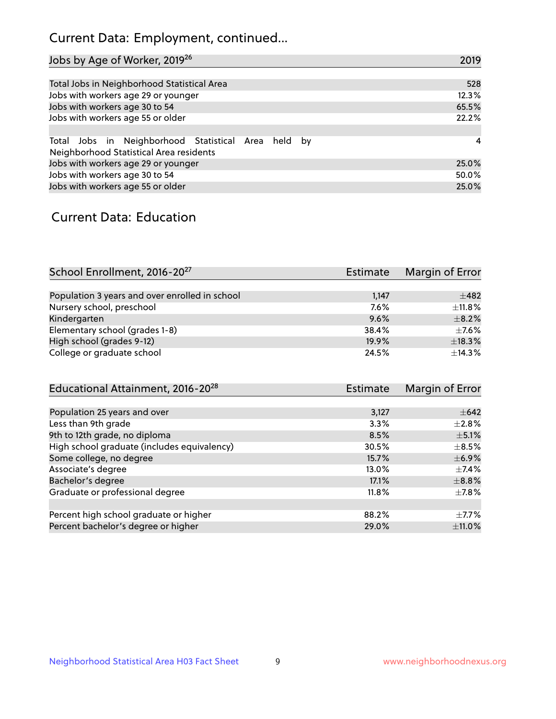# Current Data: Employment, continued...

| Jobs by Age of Worker, 2019 <sup>26</sup>                                                      | 2019           |
|------------------------------------------------------------------------------------------------|----------------|
|                                                                                                |                |
| Total Jobs in Neighborhood Statistical Area                                                    | 528            |
| Jobs with workers age 29 or younger                                                            | 12.3%          |
| Jobs with workers age 30 to 54                                                                 | 65.5%          |
| Jobs with workers age 55 or older                                                              | 22.2%          |
|                                                                                                |                |
| Total Jobs in Neighborhood Statistical Area held by<br>Neighborhood Statistical Area residents | $\overline{4}$ |
| Jobs with workers age 29 or younger                                                            | 25.0%          |
| Jobs with workers age 30 to 54                                                                 | 50.0%          |
| Jobs with workers age 55 or older                                                              | 25.0%          |

### Current Data: Education

| School Enrollment, 2016-20 <sup>27</sup>       | <b>Estimate</b> | Margin of Error |
|------------------------------------------------|-----------------|-----------------|
|                                                |                 |                 |
| Population 3 years and over enrolled in school | 1,147           | $\pm 482$       |
| Nursery school, preschool                      | 7.6%            | $\pm$ 11.8%     |
| Kindergarten                                   | 9.6%            | $\pm$ 8.2%      |
| Elementary school (grades 1-8)                 | 38.4%           | $\pm$ 7.6%      |
| High school (grades 9-12)                      | 19.9%           | ±18.3%          |
| College or graduate school                     | 24.5%           | $+14.3%$        |

| Educational Attainment, 2016-20 <sup>28</sup> | <b>Estimate</b> | Margin of Error |
|-----------------------------------------------|-----------------|-----------------|
|                                               |                 |                 |
| Population 25 years and over                  | 3,127           | $\pm$ 642       |
| Less than 9th grade                           | 3.3%            | $\pm 2.8\%$     |
| 9th to 12th grade, no diploma                 | 8.5%            | $\pm$ 5.1%      |
| High school graduate (includes equivalency)   | 30.5%           | $\pm$ 8.5%      |
| Some college, no degree                       | 15.7%           | $\pm$ 6.9%      |
| Associate's degree                            | 13.0%           | $\pm$ 7.4%      |
| Bachelor's degree                             | 17.1%           | $\pm$ 8.8%      |
| Graduate or professional degree               | 11.8%           | $\pm$ 7.8%      |
|                                               |                 |                 |
| Percent high school graduate or higher        | 88.2%           | $+7.7%$         |
| Percent bachelor's degree or higher           | 29.0%           | $\pm$ 11.0%     |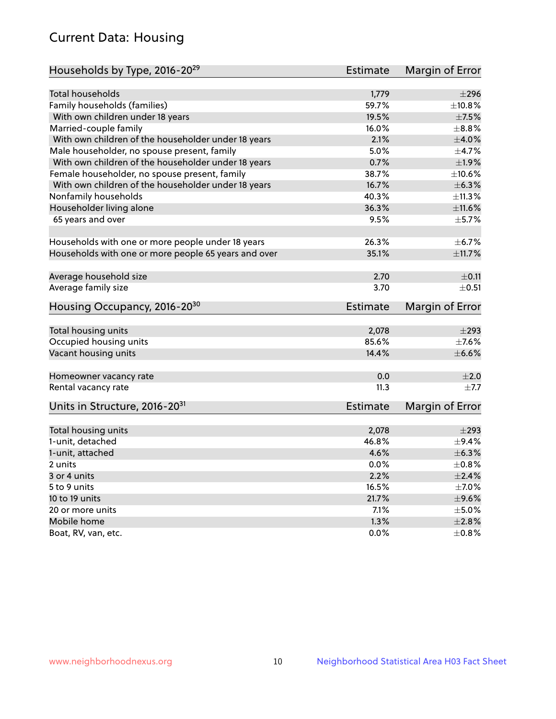# Current Data: Housing

| Households by Type, 2016-20 <sup>29</sup>            | <b>Estimate</b> | Margin of Error |
|------------------------------------------------------|-----------------|-----------------|
|                                                      |                 |                 |
| Total households                                     | 1,779           | $\pm 296$       |
| Family households (families)                         | 59.7%           | ±10.8%          |
| With own children under 18 years                     | 19.5%           | $\pm$ 7.5%      |
| Married-couple family                                | 16.0%           | $\pm$ 8.8%      |
| With own children of the householder under 18 years  | 2.1%            | $\pm 4.0\%$     |
| Male householder, no spouse present, family          | 5.0%            | $\pm$ 4.7%      |
| With own children of the householder under 18 years  | 0.7%            | ±1.9%           |
| Female householder, no spouse present, family        | 38.7%           | ±10.6%          |
| With own children of the householder under 18 years  | 16.7%           | ±6.3%           |
| Nonfamily households                                 | 40.3%           | ±11.3%          |
| Householder living alone                             | 36.3%           | ±11.6%          |
| 65 years and over                                    | 9.5%            | $\pm$ 5.7%      |
| Households with one or more people under 18 years    | 26.3%           | $\pm$ 6.7%      |
| Households with one or more people 65 years and over | 35.1%           | $\pm$ 11.7%     |
|                                                      |                 |                 |
| Average household size                               | 2.70            | $\pm$ 0.11      |
| Average family size                                  | 3.70            | $\pm$ 0.51      |
| Housing Occupancy, 2016-20 <sup>30</sup>             | <b>Estimate</b> | Margin of Error |
| Total housing units                                  | 2,078           | $\pm 293$       |
| Occupied housing units                               | 85.6%           | $\pm$ 7.6%      |
| Vacant housing units                                 | 14.4%           | $\pm$ 6.6%      |
|                                                      |                 |                 |
| Homeowner vacancy rate                               | 0.0             | $\pm 2.0$       |
| Rental vacancy rate                                  | 11.3            | $\pm$ 7.7       |
| Units in Structure, 2016-20 <sup>31</sup>            | Estimate        | Margin of Error |
|                                                      | 2,078           | $\pm 293$       |
| Total housing units                                  |                 |                 |
| 1-unit, detached                                     | 46.8%           | $\pm$ 9.4%      |
| 1-unit, attached                                     | 4.6%            | $\pm$ 6.3%      |
| 2 units                                              | 0.0%            | $\pm$ 0.8%      |
| 3 or 4 units                                         | 2.2%            | $\pm 2.4\%$     |
| 5 to 9 units                                         | 16.5%           | $\pm$ 7.0%      |
| 10 to 19 units                                       | 21.7%           | $\pm$ 9.6%      |
| 20 or more units                                     | 7.1%            | $\pm$ 5.0%      |
| Mobile home                                          | 1.3%            | $\pm 2.8\%$     |
| Boat, RV, van, etc.                                  | $0.0\%$         | $\pm$ 0.8%      |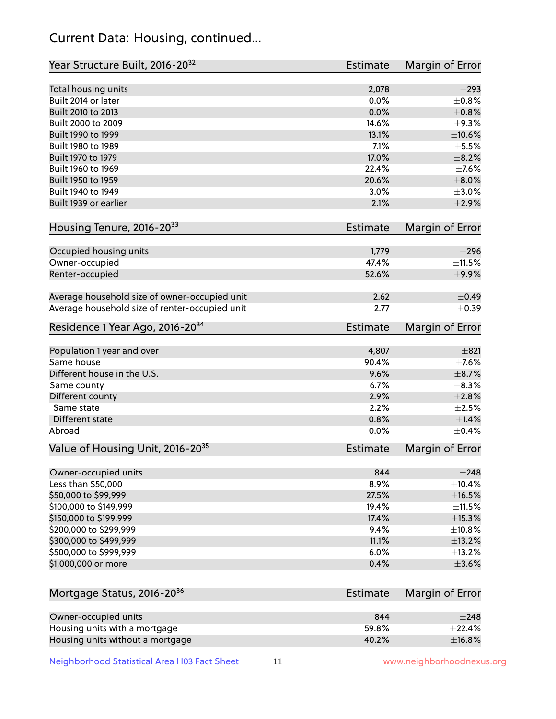# Current Data: Housing, continued...

| Year Structure Built, 2016-20 <sup>32</sup>    | <b>Estimate</b> | Margin of Error           |
|------------------------------------------------|-----------------|---------------------------|
| Total housing units                            | 2,078           | $\pm 293$                 |
| Built 2014 or later                            | 0.0%            | $\pm 0.8\%$               |
| Built 2010 to 2013                             | 0.0%            | $\pm 0.8\%$               |
| Built 2000 to 2009                             | 14.6%           | $\pm$ 9.3%                |
| Built 1990 to 1999                             | 13.1%           | $\pm 10.6\%$              |
| Built 1980 to 1989                             | 7.1%            | $\pm$ 5.5%                |
| Built 1970 to 1979                             | 17.0%           | $\pm$ 8.2%                |
| Built 1960 to 1969                             | 22.4%           | $\pm$ 7.6%                |
| Built 1950 to 1959                             | 20.6%           | $\pm 8.0\%$               |
| Built 1940 to 1949                             | 3.0%            | $\pm 3.0\%$               |
| Built 1939 or earlier                          | 2.1%            | $\pm 2.9\%$               |
| Housing Tenure, 2016-2033                      | <b>Estimate</b> | Margin of Error           |
| Occupied housing units                         | 1,779           | $\pm 296$                 |
| Owner-occupied                                 | 47.4%           | $\pm$ 11.5%               |
| Renter-occupied                                | 52.6%           | ±9.9%                     |
| Average household size of owner-occupied unit  | 2.62            | $\pm$ 0.49                |
| Average household size of renter-occupied unit | 2.77            | $\pm$ 0.39                |
| Residence 1 Year Ago, 2016-20 <sup>34</sup>    | <b>Estimate</b> | Margin of Error           |
|                                                |                 |                           |
| Population 1 year and over                     | 4,807           | $\pm 821$                 |
| Same house                                     | 90.4%           | $\pm$ 7.6%                |
| Different house in the U.S.                    | 9.6%<br>6.7%    | $\pm$ 8.7%                |
| Same county                                    | 2.9%            | $\pm$ 8.3%<br>$\pm 2.8\%$ |
| Different county<br>Same state                 | 2.2%            | $\pm 2.5\%$               |
| Different state                                | 0.8%            | $\pm 1.4\%$               |
| Abroad                                         | 0.0%            | $\pm$ 0.4%                |
|                                                | <b>Estimate</b> |                           |
| Value of Housing Unit, 2016-20 <sup>35</sup>   |                 | Margin of Error           |
| Owner-occupied units                           | 844             | $\pm 248$                 |
| Less than \$50,000                             | 8.9%            | ±10.4%                    |
| \$50,000 to \$99,999                           | 27.5%           | $\pm$ 16.5%               |
| \$100,000 to \$149,999                         | 19.4%           | $\pm$ 11.5%               |
| \$150,000 to \$199,999                         | 17.4%           | $\pm$ 15.3%               |
| \$200,000 to \$299,999                         | 9.4%            | ±10.8%                    |
| \$300,000 to \$499,999                         | 11.1%           | ±13.2%                    |
| \$500,000 to \$999,999                         | 6.0%            | ±13.2%                    |
| \$1,000,000 or more                            | 0.4%            | $\pm 3.6\%$               |
| Mortgage Status, 2016-20 <sup>36</sup>         | <b>Estimate</b> | Margin of Error           |
| Owner-occupied units                           | 844             | $\pm 248$                 |
| Housing units with a mortgage                  | 59.8%           | ±22.4%                    |
| Housing units without a mortgage               | 40.2%           | ±16.8%                    |

Neighborhood Statistical Area H03 Fact Sheet 11 11 www.neighborhoodnexus.org

Housing units without a mortgage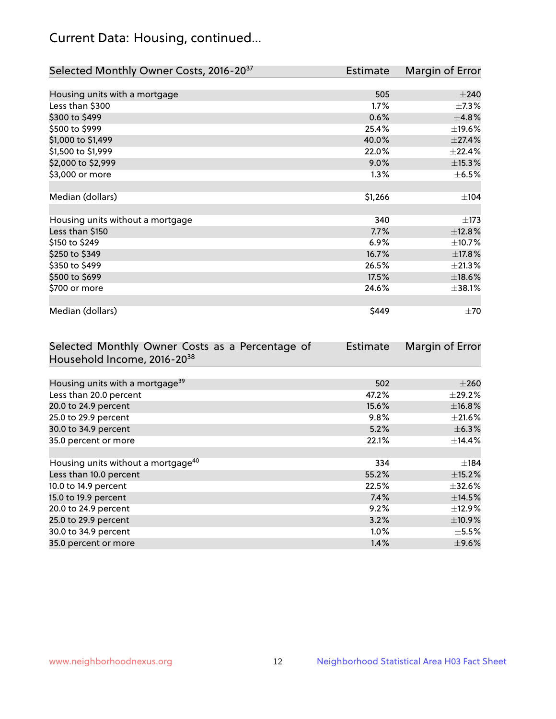# Current Data: Housing, continued...

| Selected Monthly Owner Costs, 2016-20 <sup>37</sup> | Estimate | Margin of Error |
|-----------------------------------------------------|----------|-----------------|
|                                                     |          |                 |
| Housing units with a mortgage                       | 505      | $\pm 240$       |
| Less than \$300                                     | 1.7%     | $\pm$ 7.3%      |
| \$300 to \$499                                      | 0.6%     | ±4.8%           |
| \$500 to \$999                                      | 25.4%    | ±19.6%          |
| \$1,000 to \$1,499                                  | 40.0%    | ±27.4%          |
| \$1,500 to \$1,999                                  | 22.0%    | ±22.4%          |
| \$2,000 to \$2,999                                  | $9.0\%$  | ±15.3%          |
| \$3,000 or more                                     | 1.3%     | $\pm$ 6.5%      |
|                                                     |          |                 |
| Median (dollars)                                    | \$1,266  | ±104            |
|                                                     |          |                 |
| Housing units without a mortgage                    | 340      | $\pm$ 173       |
| Less than \$150                                     | 7.7%     | ±12.8%          |
| \$150 to \$249                                      | 6.9%     | $\pm$ 10.7%     |
| \$250 to \$349                                      | 16.7%    | ±17.8%          |
| \$350 to \$499                                      | 26.5%    | $\pm 21.3\%$    |
| \$500 to \$699                                      | 17.5%    | ±18.6%          |
| \$700 or more                                       | 24.6%    | ±38.1%          |
|                                                     |          |                 |
| Median (dollars)                                    | \$449    | $\pm 70$        |

| Selected Monthly Owner Costs as a Percentage of | <b>Estimate</b> | Margin of Error |
|-------------------------------------------------|-----------------|-----------------|
| Household Income, 2016-20 <sup>38</sup>         |                 |                 |
|                                                 |                 |                 |
| Housing units with a mortgage <sup>39</sup>     | 502             | $\pm 260$       |
| Less than 20.0 percent                          | 47.2%           | $\pm$ 29.2%     |
| 20.0 to 24.9 percent                            | 15.6%           | ±16.8%          |
| 25.0 to 29.9 percent                            | 9.8%            | $\pm 21.6\%$    |
| 30.0 to 34.9 percent                            | 5.2%            | $\pm$ 6.3%      |
| 35.0 percent or more                            | 22.1%           | $\pm$ 14.4%     |
|                                                 |                 |                 |
| Housing units without a mortgage <sup>40</sup>  | 334             | $\pm$ 184       |
| Less than 10.0 percent                          | 55.2%           | $\pm$ 15.2%     |
| 10.0 to 14.9 percent                            | 22.5%           | $\pm$ 32.6%     |
| 15.0 to 19.9 percent                            | 7.4%            | $\pm$ 14.5%     |
| 20.0 to 24.9 percent                            | 9.2%            | $\pm$ 12.9%     |
| 25.0 to 29.9 percent                            | 3.2%            | ±10.9%          |
| 30.0 to 34.9 percent                            | $1.0\%$         | $\pm$ 5.5%      |
| 35.0 percent or more                            | 1.4%            | $\pm$ 9.6%      |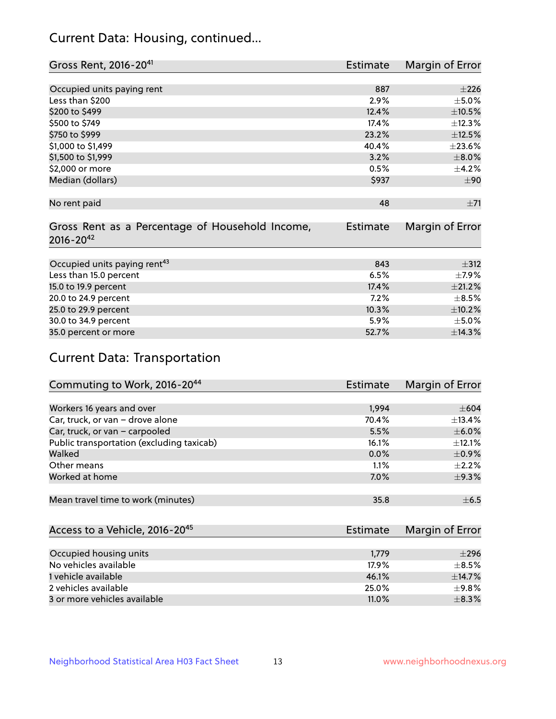# Current Data: Housing, continued...

| Gross Rent, 2016-20 <sup>41</sup>                                   | Estimate        | Margin of Error |
|---------------------------------------------------------------------|-----------------|-----------------|
|                                                                     |                 |                 |
| Occupied units paying rent                                          | 887             | ±226            |
| Less than \$200                                                     | 2.9%            | $\pm$ 5.0%      |
| \$200 to \$499                                                      | 12.4%           | $\pm 10.5\%$    |
| \$500 to \$749                                                      | 17.4%           | ±12.3%          |
| \$750 to \$999                                                      | 23.2%           | $\pm$ 12.5%     |
| \$1,000 to \$1,499                                                  | 40.4%           | ±23.6%          |
| \$1,500 to \$1,999                                                  | 3.2%            | $\pm 8.0\%$     |
| \$2,000 or more                                                     | 0.5%            | $\pm$ 4.2%      |
| Median (dollars)                                                    | \$937           | ±90             |
| No rent paid                                                        | 48              | ±71             |
| Gross Rent as a Percentage of Household Income,<br>$2016 - 20^{42}$ | <b>Estimate</b> | Margin of Error |
| Occupied units paying rent <sup>43</sup>                            | 843             | $+312$          |
| Less than 15.0 percent                                              | 6.5%            | $\pm$ 7.9%      |
| 15.0 to 19.9 percent                                                | 17.4%           | $\pm 21.2\%$    |
| 20.0 to 24.9 percent                                                | 7.2%            | $\pm$ 8.5%      |
| 25.0 to 29.9 percent                                                | 10.3%           | ±10.2%          |
| 30.0 to 34.9 percent                                                | 5.9%            | $\pm$ 5.0%      |
| 35.0 percent or more                                                | 52.7%           | ±14.3%          |

# Current Data: Transportation

| Commuting to Work, 2016-20 <sup>44</sup>  | Estimate | Margin of Error |
|-------------------------------------------|----------|-----------------|
|                                           |          |                 |
| Workers 16 years and over                 | 1,994    | $\pm 604$       |
| Car, truck, or van - drove alone          | 70.4%    | $\pm$ 13.4%     |
| Car, truck, or van - carpooled            | 5.5%     | $\pm$ 6.0%      |
| Public transportation (excluding taxicab) | 16.1%    | $\pm$ 12.1%     |
| Walked                                    | $0.0\%$  | $\pm$ 0.9%      |
| Other means                               | 1.1%     | $\pm 2.2\%$     |
| Worked at home                            | 7.0%     | $\pm$ 9.3%      |
|                                           |          |                 |
| Mean travel time to work (minutes)        | 35.8     | $\pm$ 6.5       |

| Access to a Vehicle, 2016-20 <sup>45</sup> | Estimate | Margin of Error |
|--------------------------------------------|----------|-----------------|
|                                            |          |                 |
| Occupied housing units                     | 1,779    | $\pm 296$       |
| No vehicles available                      | 17.9%    | $+8.5%$         |
| 1 vehicle available                        | 46.1%    | $\pm$ 14.7%     |
| 2 vehicles available                       | 25.0%    | $+9.8%$         |
| 3 or more vehicles available               | 11.0%    | $+8.3%$         |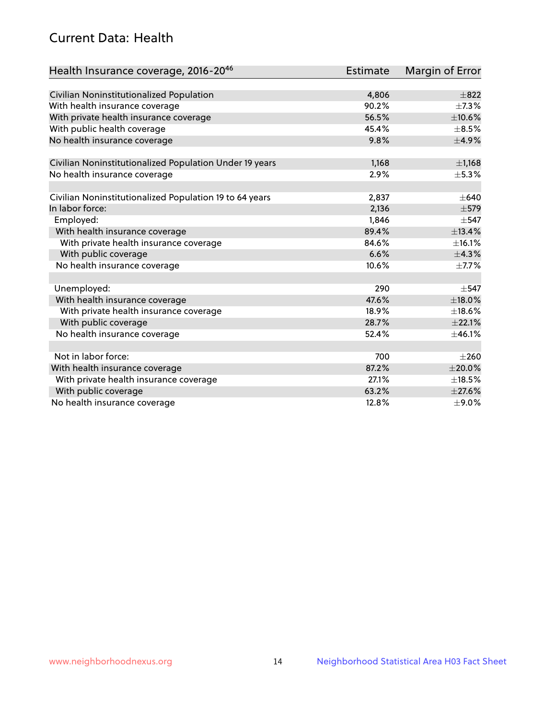# Current Data: Health

| Health Insurance coverage, 2016-2046                    | <b>Estimate</b> | Margin of Error |
|---------------------------------------------------------|-----------------|-----------------|
|                                                         |                 |                 |
| Civilian Noninstitutionalized Population                | 4,806           | $\pm$ 822       |
| With health insurance coverage                          | 90.2%           | $\pm$ 7.3%      |
| With private health insurance coverage                  | 56.5%           | ±10.6%          |
| With public health coverage                             | 45.4%           | $\pm$ 8.5%      |
| No health insurance coverage                            | 9.8%            | $\pm$ 4.9%      |
| Civilian Noninstitutionalized Population Under 19 years | 1,168           | $\pm$ 1,168     |
| No health insurance coverage                            | 2.9%            | $\pm$ 5.3%      |
|                                                         |                 |                 |
| Civilian Noninstitutionalized Population 19 to 64 years | 2,837           | $\pm 640$       |
| In labor force:                                         | 2,136           | $\pm$ 579       |
| Employed:                                               | 1,846           | $\pm$ 547       |
| With health insurance coverage                          | 89.4%           | ±13.4%          |
| With private health insurance coverage                  | 84.6%           | ±16.1%          |
| With public coverage                                    | 6.6%            | ±4.3%           |
| No health insurance coverage                            | 10.6%           | $\pm$ 7.7%      |
|                                                         |                 |                 |
| Unemployed:                                             | 290             | $\pm$ 547       |
| With health insurance coverage                          | 47.6%           | ±18.0%          |
| With private health insurance coverage                  | 18.9%           | ±18.6%          |
| With public coverage                                    | 28.7%           | $\pm 22.1\%$    |
| No health insurance coverage                            | 52.4%           | ±46.1%          |
|                                                         |                 |                 |
| Not in labor force:                                     | 700             | $\pm 260$       |
| With health insurance coverage                          | 87.2%           | $\pm 20.0\%$    |
| With private health insurance coverage                  | 27.1%           | $\pm$ 18.5%     |
| With public coverage                                    | 63.2%           | $\pm$ 27.6%     |
| No health insurance coverage                            | 12.8%           | $\pm$ 9.0%      |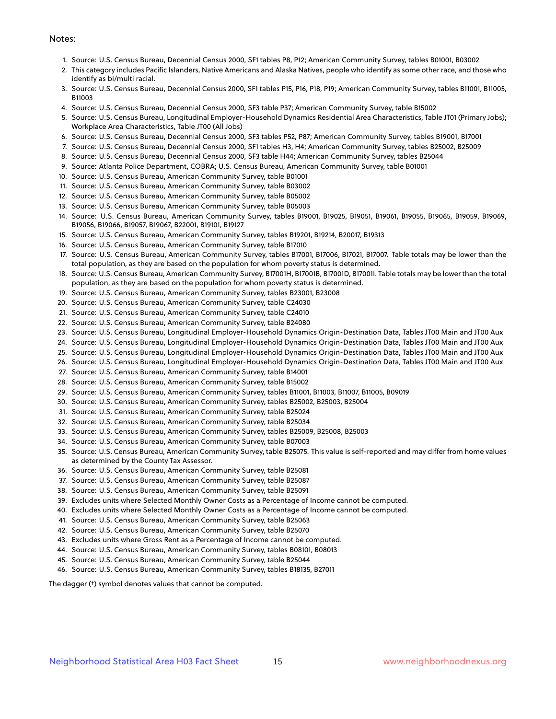#### Notes:

- 1. Source: U.S. Census Bureau, Decennial Census 2000, SF1 tables P8, P12; American Community Survey, tables B01001, B03002
- 2. This category includes Pacific Islanders, Native Americans and Alaska Natives, people who identify as some other race, and those who identify as bi/multi racial.
- 3. Source: U.S. Census Bureau, Decennial Census 2000, SF1 tables P15, P16, P18, P19; American Community Survey, tables B11001, B11005, B11003
- 4. Source: U.S. Census Bureau, Decennial Census 2000, SF3 table P37; American Community Survey, table B15002
- 5. Source: U.S. Census Bureau, Longitudinal Employer-Household Dynamics Residential Area Characteristics, Table JT01 (Primary Jobs); Workplace Area Characteristics, Table JT00 (All Jobs)
- 6. Source: U.S. Census Bureau, Decennial Census 2000, SF3 tables P52, P87; American Community Survey, tables B19001, B17001
- 7. Source: U.S. Census Bureau, Decennial Census 2000, SF1 tables H3, H4; American Community Survey, tables B25002, B25009
- 8. Source: U.S. Census Bureau, Decennial Census 2000, SF3 table H44; American Community Survey, tables B25044
- 9. Source: Atlanta Police Department, COBRA; U.S. Census Bureau, American Community Survey, table B01001
- 10. Source: U.S. Census Bureau, American Community Survey, table B01001
- 11. Source: U.S. Census Bureau, American Community Survey, table B03002
- 12. Source: U.S. Census Bureau, American Community Survey, table B05002
- 13. Source: U.S. Census Bureau, American Community Survey, table B05003
- 14. Source: U.S. Census Bureau, American Community Survey, tables B19001, B19025, B19051, B19061, B19055, B19065, B19059, B19069, B19056, B19066, B19057, B19067, B22001, B19101, B19127
- 15. Source: U.S. Census Bureau, American Community Survey, tables B19201, B19214, B20017, B19313
- 16. Source: U.S. Census Bureau, American Community Survey, table B17010
- 17. Source: U.S. Census Bureau, American Community Survey, tables B17001, B17006, B17021, B17007. Table totals may be lower than the total population, as they are based on the population for whom poverty status is determined.
- 18. Source: U.S. Census Bureau, American Community Survey, B17001H, B17001B, B17001D, B17001I. Table totals may be lower than the total population, as they are based on the population for whom poverty status is determined.
- 19. Source: U.S. Census Bureau, American Community Survey, tables B23001, B23008
- 20. Source: U.S. Census Bureau, American Community Survey, table C24030
- 21. Source: U.S. Census Bureau, American Community Survey, table C24010
- 22. Source: U.S. Census Bureau, American Community Survey, table B24080
- 23. Source: U.S. Census Bureau, Longitudinal Employer-Household Dynamics Origin-Destination Data, Tables JT00 Main and JT00 Aux
- 24. Source: U.S. Census Bureau, Longitudinal Employer-Household Dynamics Origin-Destination Data, Tables JT00 Main and JT00 Aux
- 25. Source: U.S. Census Bureau, Longitudinal Employer-Household Dynamics Origin-Destination Data, Tables JT00 Main and JT00 Aux
- 26. Source: U.S. Census Bureau, Longitudinal Employer-Household Dynamics Origin-Destination Data, Tables JT00 Main and JT00 Aux
- 27. Source: U.S. Census Bureau, American Community Survey, table B14001
- 28. Source: U.S. Census Bureau, American Community Survey, table B15002
- 29. Source: U.S. Census Bureau, American Community Survey, tables B11001, B11003, B11007, B11005, B09019
- 30. Source: U.S. Census Bureau, American Community Survey, tables B25002, B25003, B25004
- 31. Source: U.S. Census Bureau, American Community Survey, table B25024
- 32. Source: U.S. Census Bureau, American Community Survey, table B25034
- 33. Source: U.S. Census Bureau, American Community Survey, tables B25009, B25008, B25003
- 34. Source: U.S. Census Bureau, American Community Survey, table B07003
- 35. Source: U.S. Census Bureau, American Community Survey, table B25075. This value is self-reported and may differ from home values as determined by the County Tax Assessor.
- 36. Source: U.S. Census Bureau, American Community Survey, table B25081
- 37. Source: U.S. Census Bureau, American Community Survey, table B25087
- 38. Source: U.S. Census Bureau, American Community Survey, table B25091
- 39. Excludes units where Selected Monthly Owner Costs as a Percentage of Income cannot be computed.
- 40. Excludes units where Selected Monthly Owner Costs as a Percentage of Income cannot be computed.
- 41. Source: U.S. Census Bureau, American Community Survey, table B25063
- 42. Source: U.S. Census Bureau, American Community Survey, table B25070
- 43. Excludes units where Gross Rent as a Percentage of Income cannot be computed.
- 44. Source: U.S. Census Bureau, American Community Survey, tables B08101, B08013
- 45. Source: U.S. Census Bureau, American Community Survey, table B25044
- 46. Source: U.S. Census Bureau, American Community Survey, tables B18135, B27011

The dagger (†) symbol denotes values that cannot be computed.